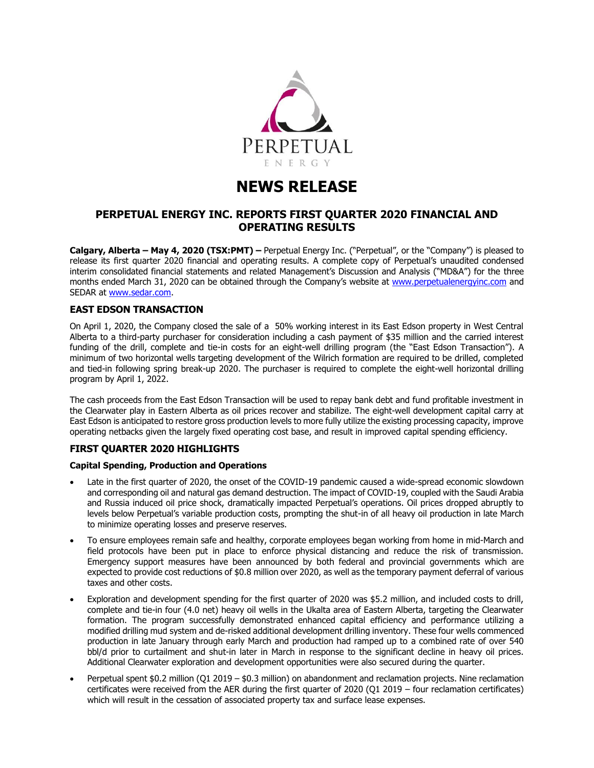

# **NEWS RELEASE**

# **PERPETUAL ENERGY INC. REPORTS FIRST QUARTER 2020 FINANCIAL AND OPERATING RESULTS**

**Calgary, Alberta – May 4, 2020 (TSX:PMT) –** Perpetual Energy Inc. ("Perpetual", or the "Company") is pleased to release its first quarter 2020 financial and operating results. A complete copy of Perpetual's unaudited condensed interim consolidated financial statements and related Management's Discussion and Analysis ("MD&A") for the three months ended March 31, 2020 can be obtained through the Company's website at [www.perpetualenergyinc.com](http://www.perpetualenergyinc.com/) and SEDAR at [www.sedar.com.](http://www.sedar.com/)

# **EAST EDSON TRANSACTION**

On April 1, 2020, the Company closed the sale of a 50% working interest in its East Edson property in West Central Alberta to a third-party purchaser for consideration including a cash payment of \$35 million and the carried interest funding of the drill, complete and tie-in costs for an eight-well drilling program (the "East Edson Transaction"). A minimum of two horizontal wells targeting development of the Wilrich formation are required to be drilled, completed and tied-in following spring break-up 2020. The purchaser is required to complete the eight-well horizontal drilling program by April 1, 2022.

The cash proceeds from the East Edson Transaction will be used to repay bank debt and fund profitable investment in the Clearwater play in Eastern Alberta as oil prices recover and stabilize. The eight-well development capital carry at East Edson is anticipated to restore gross production levels to more fully utilize the existing processing capacity, improve operating netbacks given the largely fixed operating cost base, and result in improved capital spending efficiency.

# **FIRST QUARTER 2020 HIGHLIGHTS**

### **Capital Spending, Production and Operations**

- Late in the first quarter of 2020, the onset of the COVID-19 pandemic caused a wide-spread economic slowdown and corresponding oil and natural gas demand destruction. The impact of COVID-19, coupled with the Saudi Arabia and Russia induced oil price shock, dramatically impacted Perpetual's operations. Oil prices dropped abruptly to levels below Perpetual's variable production costs, prompting the shut-in of all heavy oil production in late March to minimize operating losses and preserve reserves.
- To ensure employees remain safe and healthy, corporate employees began working from home in mid-March and field protocols have been put in place to enforce physical distancing and reduce the risk of transmission. Emergency support measures have been announced by both federal and provincial governments which are expected to provide cost reductions of \$0.8 million over 2020, as well as the temporary payment deferral of various taxes and other costs.
- Exploration and development spending for the first quarter of 2020 was \$5.2 million, and included costs to drill, complete and tie-in four (4.0 net) heavy oil wells in the Ukalta area of Eastern Alberta, targeting the Clearwater formation. The program successfully demonstrated enhanced capital efficiency and performance utilizing a modified drilling mud system and de-risked additional development drilling inventory. These four wells commenced production in late January through early March and production had ramped up to a combined rate of over 540 bbl/d prior to curtailment and shut-in later in March in response to the significant decline in heavy oil prices. Additional Clearwater exploration and development opportunities were also secured during the quarter.
- Perpetual spent \$0.2 million (Q1 2019 \$0.3 million) on abandonment and reclamation projects. Nine reclamation certificates were received from the AER during the first quarter of 2020 (Q1 2019 – four reclamation certificates) which will result in the cessation of associated property tax and surface lease expenses.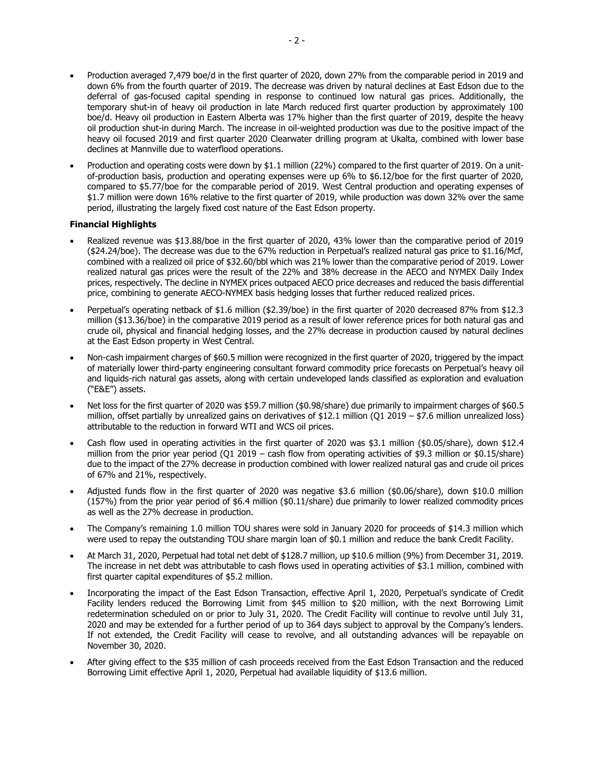- Production averaged 7,479 boe/d in the first quarter of 2020, down 27% from the comparable period in 2019 and down 6% from the fourth quarter of 2019. The decrease was driven by natural declines at East Edson due to the deferral of gas-focused capital spending in response to continued low natural gas prices. Additionally, the temporary shut-in of heavy oil production in late March reduced first quarter production by approximately 100 boe/d. Heavy oil production in Eastern Alberta was 17% higher than the first quarter of 2019, despite the heavy oil production shut-in during March. The increase in oil-weighted production was due to the positive impact of the heavy oil focused 2019 and first quarter 2020 Clearwater drilling program at Ukalta, combined with lower base declines at Mannville due to waterflood operations.
- Production and operating costs were down by \$1.1 million (22%) compared to the first quarter of 2019. On a unitof-production basis, production and operating expenses were up 6% to \$6.12/boe for the first quarter of 2020, compared to \$5.77/boe for the comparable period of 2019. West Central production and operating expenses of \$1.7 million were down 16% relative to the first quarter of 2019, while production was down 32% over the same period, illustrating the largely fixed cost nature of the East Edson property.

## **Financial Highlights**

- Realized revenue was \$13.88/boe in the first quarter of 2020, 43% lower than the comparative period of 2019 (\$24.24/boe). The decrease was due to the 67% reduction in Perpetual's realized natural gas price to \$1.16/Mcf, combined with a realized oil price of \$32.60/bbl which was 21% lower than the comparative period of 2019. Lower realized natural gas prices were the result of the 22% and 38% decrease in the AECO and NYMEX Daily Index prices, respectively. The decline in NYMEX prices outpaced AECO price decreases and reduced the basis differential price, combining to generate AECO-NYMEX basis hedging losses that further reduced realized prices.
- Perpetual's operating netback of \$1.6 million (\$2.39/boe) in the first quarter of 2020 decreased 87% from \$12.3 million (\$13.36/boe) in the comparative 2019 period as a result of lower reference prices for both natural gas and crude oil, physical and financial hedging losses, and the 27% decrease in production caused by natural declines at the East Edson property in West Central.
- Non-cash impairment charges of \$60.5 million were recognized in the first quarter of 2020, triggered by the impact of materially lower third-party engineering consultant forward commodity price forecasts on Perpetual's heavy oil and liquids-rich natural gas assets, along with certain undeveloped lands classified as exploration and evaluation ("E&E") assets.
- Net loss for the first quarter of 2020 was \$59.7 million (\$0.98/share) due primarily to impairment charges of \$60.5 million, offset partially by unrealized gains on derivatives of \$12.1 million (Q1 2019 – \$7.6 million unrealized loss) attributable to the reduction in forward WTI and WCS oil prices.
- Cash flow used in operating activities in the first quarter of 2020 was \$3.1 million (\$0.05/share), down \$12.4 million from the prior year period (Q1 2019 – cash flow from operating activities of \$9.3 million or \$0.15/share) due to the impact of the 27% decrease in production combined with lower realized natural gas and crude oil prices of 67% and 21%, respectively.
- Adjusted funds flow in the first quarter of 2020 was negative \$3.6 million (\$0.06/share), down \$10.0 million (157%) from the prior year period of \$6.4 million (\$0.11/share) due primarily to lower realized commodity prices as well as the 27% decrease in production.
- The Company's remaining 1.0 million TOU shares were sold in January 2020 for proceeds of \$14.3 million which were used to repay the outstanding TOU share margin loan of \$0.1 million and reduce the bank Credit Facility.
- At March 31, 2020, Perpetual had total net debt of \$128.7 million, up \$10.6 million (9%) from December 31, 2019. The increase in net debt was attributable to cash flows used in operating activities of \$3.1 million, combined with first quarter capital expenditures of \$5.2 million.
- Incorporating the impact of the East Edson Transaction, effective April 1, 2020, Perpetual's syndicate of Credit Facility lenders reduced the Borrowing Limit from \$45 million to \$20 million, with the next Borrowing Limit redetermination scheduled on or prior to July 31, 2020. The Credit Facility will continue to revolve until July 31, 2020 and may be extended for a further period of up to 364 days subject to approval by the Company's lenders. If not extended, the Credit Facility will cease to revolve, and all outstanding advances will be repayable on November 30, 2020.
- After giving effect to the \$35 million of cash proceeds received from the East Edson Transaction and the reduced Borrowing Limit effective April 1, 2020, Perpetual had available liquidity of \$13.6 million.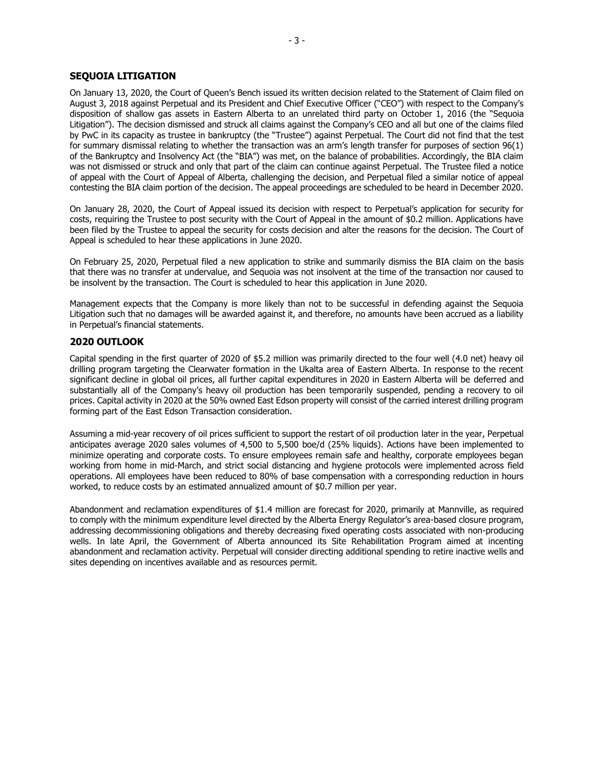## **SEQUOIA LITIGATION**

On January 13, 2020, the Court of Queen's Bench issued its written decision related to the Statement of Claim filed on August 3, 2018 against Perpetual and its President and Chief Executive Officer ("CEO") with respect to the Company's disposition of shallow gas assets in Eastern Alberta to an unrelated third party on October 1, 2016 (the "Sequoia Litigation"). The decision dismissed and struck all claims against the Company's CEO and all but one of the claims filed by PwC in its capacity as trustee in bankruptcy (the "Trustee") against Perpetual. The Court did not find that the test for summary dismissal relating to whether the transaction was an arm's length transfer for purposes of section 96(1) of the Bankruptcy and Insolvency Act (the "BIA") was met, on the balance of probabilities. Accordingly, the BIA claim was not dismissed or struck and only that part of the claim can continue against Perpetual. The Trustee filed a notice of appeal with the Court of Appeal of Alberta, challenging the decision, and Perpetual filed a similar notice of appeal contesting the BIA claim portion of the decision. The appeal proceedings are scheduled to be heard in December 2020.

On January 28, 2020, the Court of Appeal issued its decision with respect to Perpetual's application for security for costs, requiring the Trustee to post security with the Court of Appeal in the amount of \$0.2 million. Applications have been filed by the Trustee to appeal the security for costs decision and alter the reasons for the decision. The Court of Appeal is scheduled to hear these applications in June 2020.

On February 25, 2020, Perpetual filed a new application to strike and summarily dismiss the BIA claim on the basis that there was no transfer at undervalue, and Sequoia was not insolvent at the time of the transaction nor caused to be insolvent by the transaction. The Court is scheduled to hear this application in June 2020.

Management expects that the Company is more likely than not to be successful in defending against the Sequoia Litigation such that no damages will be awarded against it, and therefore, no amounts have been accrued as a liability in Perpetual's financial statements.

## **2020 OUTLOOK**

Capital spending in the first quarter of 2020 of \$5.2 million was primarily directed to the four well (4.0 net) heavy oil drilling program targeting the Clearwater formation in the Ukalta area of Eastern Alberta. In response to the recent significant decline in global oil prices, all further capital expenditures in 2020 in Eastern Alberta will be deferred and substantially all of the Company's heavy oil production has been temporarily suspended, pending a recovery to oil prices. Capital activity in 2020 at the 50% owned East Edson property will consist of the carried interest drilling program forming part of the East Edson Transaction consideration.

Assuming a mid-year recovery of oil prices sufficient to support the restart of oil production later in the year, Perpetual anticipates average 2020 sales volumes of 4,500 to 5,500 boe/d (25% liquids). Actions have been implemented to minimize operating and corporate costs. To ensure employees remain safe and healthy, corporate employees began working from home in mid-March, and strict social distancing and hygiene protocols were implemented across field operations. All employees have been reduced to 80% of base compensation with a corresponding reduction in hours worked, to reduce costs by an estimated annualized amount of \$0.7 million per year.

Abandonment and reclamation expenditures of \$1.4 million are forecast for 2020, primarily at Mannville, as required to comply with the minimum expenditure level directed by the Alberta Energy Regulator's area-based closure program, addressing decommissioning obligations and thereby decreasing fixed operating costs associated with non-producing wells. In late April, the Government of Alberta announced its Site Rehabilitation Program aimed at incenting abandonment and reclamation activity. Perpetual will consider directing additional spending to retire inactive wells and sites depending on incentives available and as resources permit.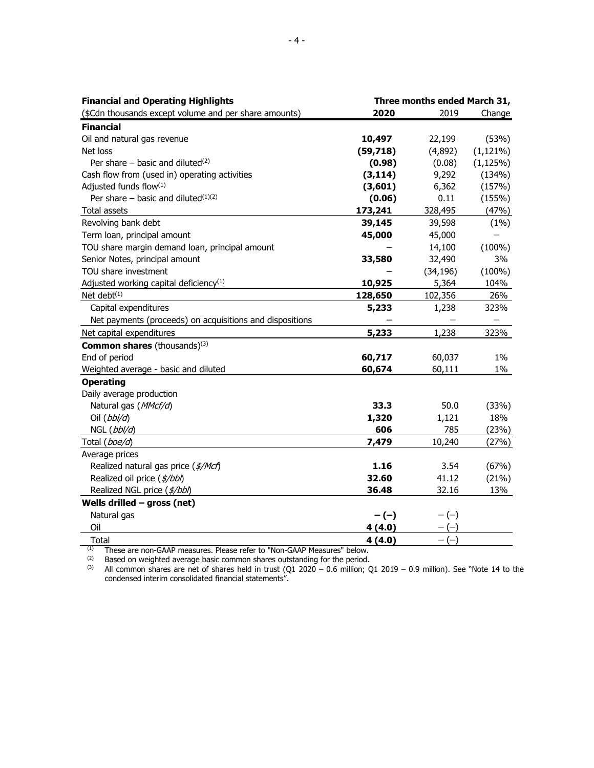| <b>Financial and Operating Highlights</b>                | Three months ended March 31, |           |              |
|----------------------------------------------------------|------------------------------|-----------|--------------|
| (\$Cdn thousands except volume and per share amounts)    | 2020                         | 2019      | Change       |
| <b>Financial</b>                                         |                              |           |              |
| Oil and natural gas revenue                              | 10,497                       | 22,199    | (53%)        |
| Net loss                                                 | (59,718)                     | (4,892)   | $(1,121\%)$  |
| Per share – basic and diluted <sup>(2)</sup>             | (0.98)                       | (0.08)    | $(1, 125\%)$ |
| Cash flow from (used in) operating activities            | (3, 114)                     | 9,292     | (134%)       |
| Adjusted funds flow(1)                                   | (3,601)                      | 6,362     | (157%)       |
| Per share – basic and diluted $(1)(2)$                   | (0.06)                       | 0.11      | (155%)       |
| Total assets                                             | 173,241                      | 328,495   | (47%)        |
| Revolving bank debt                                      | 39,145                       | 39,598    | (1%)         |
| Term loan, principal amount                              | 45,000                       | 45,000    |              |
| TOU share margin demand loan, principal amount           |                              | 14,100    | $(100\%)$    |
| Senior Notes, principal amount                           | 33,580                       | 32,490    | 3%           |
| TOU share investment                                     |                              | (34, 196) | $(100\%)$    |
| Adjusted working capital deficiency <sup>(1)</sup>       | 10,925                       | 5,364     | 104%         |
| Net debt $(1)$                                           | 128,650                      | 102,356   | 26%          |
| Capital expenditures                                     | 5,233                        | 1,238     | 323%         |
| Net payments (proceeds) on acquisitions and dispositions |                              |           |              |
| Net capital expenditures                                 | 5,233                        | 1,238     | 323%         |
| <b>Common shares</b> (thousands) <sup>(3)</sup>          |                              |           |              |
| End of period                                            | 60,717                       | 60,037    | $1\%$        |
| Weighted average - basic and diluted                     | 60,674                       | 60,111    | 1%           |
| <b>Operating</b>                                         |                              |           |              |
| Daily average production                                 |                              |           |              |
| Natural gas (MMcf/d)                                     | 33.3                         | 50.0      | (33%)        |
| Oil $(bb\bar{b}/d)$                                      | 1,320                        | 1,121     | 18%          |
| NGL (bbl/d)                                              | 606                          | 785       | (23%)        |
| Total (boe/d)                                            | 7,479                        | 10,240    | (27%)        |
| Average prices                                           |                              |           |              |
| Realized natural gas price (\$/Mcf)                      | 1.16                         | 3.54      | (67%)        |
| Realized oil price (\$/bbl)                              | 32.60                        | 41.12     | (21%)        |
| Realized NGL price (\$/bbl)                              | 36.48                        | 32.16     | 13%          |
| Wells drilled $-$ gross (net)                            |                              |           |              |
| Natural gas                                              | $-(-)$                       | $-(-)$    |              |
| Oil                                                      | 4(4.0)                       |           |              |
| Total                                                    | 4(4.0)                       | $-(-)$    |              |

 $(1)$  These are non-GAAP measures. Please refer to "Non-GAAP Measures" below.

 $(2)$  Based on weighted average basic common shares outstanding for the period.

(3) All common shares are net of shares held in trust (Q1 2020 – 0.6 million; Q1 2019 – 0.9 million). See "Note 14 to the condensed interim consolidated financial statements".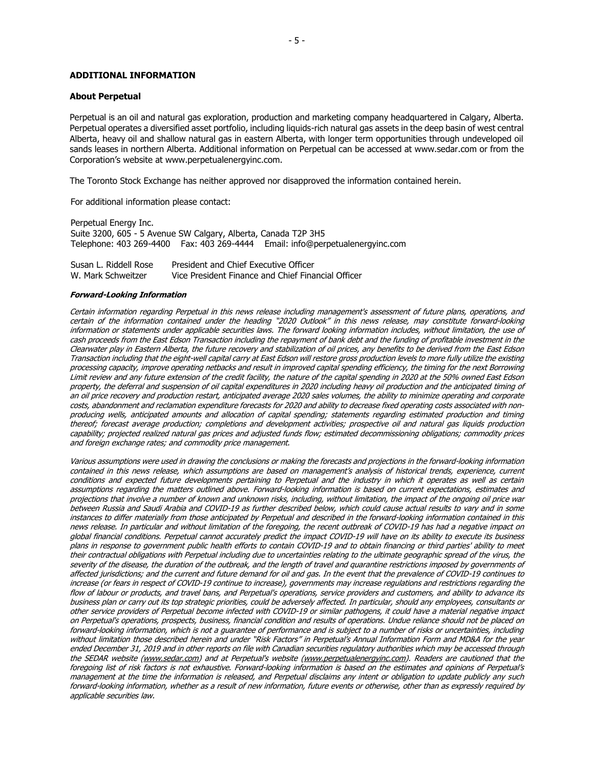### **ADDITIONAL INFORMATION**

#### **About Perpetual**

Perpetual is an oil and natural gas exploration, production and marketing company headquartered in Calgary, Alberta. Perpetual operates a diversified asset portfolio, including liquids-rich natural gas assets in the deep basin of west central Alberta, heavy oil and shallow natural gas in eastern Alberta, with longer term opportunities through undeveloped oil sands leases in northern Alberta. Additional information on Perpetual can be accessed at www.sedar.com or from the Corporation's website at www.perpetualenergyinc.com.

The Toronto Stock Exchange has neither approved nor disapproved the information contained herein.

For additional information please contact:

Perpetual Energy Inc. Suite 3200, 605 - 5 Avenue SW Calgary, Alberta, Canada T2P 3H5 Telephone: 403 269-4400 Fax: 403 269-4444 Email: info@perpetualenergyinc.com

Susan L. Riddell Rose W. Mark Schweitzer President and Chief Executive Officer Vice President Finance and Chief Financial Officer

#### **Forward-Looking Information**

Certain information regarding Perpetual in this news release including management's assessment of future plans, operations, and certain of the information contained under the heading "2020 Outlook" in this news release, may constitute forward-looking information or statements under applicable securities laws. The forward looking information includes, without limitation, the use of cash proceeds from the East Edson Transaction including the repayment of bank debt and the funding of profitable investment in the Clearwater play in Eastern Alberta, the future recovery and stabilization of oil prices, any benefits to be derived from the East Edson Transaction including that the eight-well capital carry at East Edson will restore gross production levels to more fully utilize the existing processing capacity, improve operating netbacks and result in improved capital spending efficiency, the timing for the next Borrowing Limit review and any future extension of the credit facility, the nature of the capital spending in 2020 at the 50% owned East Edson property, the deferral and suspension of oil capital expenditures in 2020 including heavy oil production and the anticipated timing of an oil price recovery and production restart, anticipated average 2020 sales volumes, the ability to minimize operating and corporate costs, abandonment and reclamation expenditure forecasts for 2020 and ability to decrease fixed operating costs associated with nonproducing wells, anticipated amounts and allocation of capital spending; statements regarding estimated production and timing thereof; forecast average production; completions and development activities; prospective oil and natural gas liquids production capability; projected realized natural gas prices and adjusted funds flow; estimated decommissioning obligations; commodity prices and foreign exchange rates; and commodity price management.

Various assumptions were used in drawing the conclusions or making the forecasts and projections in the forward-looking information contained in this news release, which assumptions are based on management's analysis of historical trends, experience, current conditions and expected future developments pertaining to Perpetual and the industry in which it operates as well as certain assumptions regarding the matters outlined above. Forward-looking information is based on current expectations, estimates and projections that involve a number of known and unknown risks, including, without limitation, the impact of the ongoing oil price war between Russia and Saudi Arabia and COVID-19 as further described below, which could cause actual results to vary and in some instances to differ materially from those anticipated by Perpetual and described in the forward-looking information contained in this news release. In particular and without limitation of the foregoing, the recent outbreak of COVID-19 has had a negative impact on global financial conditions. Perpetual cannot accurately predict the impact COVID-19 will have on its ability to execute its business plans in response to government public health efforts to contain COVID-19 and to obtain financing or third parties' ability to meet their contractual obligations with Perpetual including due to uncertainties relating to the ultimate geographic spread of the virus, the severity of the disease, the duration of the outbreak, and the length of travel and quarantine restrictions imposed by governments of affected jurisdictions; and the current and future demand for oil and gas. In the event that the prevalence of COVID-19 continues to increase (or fears in respect of COVID-19 continue to increase), governments may increase regulations and restrictions regarding the flow of labour or products, and travel bans, and Perpetual's operations, service providers and customers, and ability to advance its business plan or carry out its top strategic priorities, could be adversely affected. In particular, should any employees, consultants or other service providers of Perpetual become infected with COVID-19 or similar pathogens, it could have a material negative impact on Perpetual's operations, prospects, business, financial condition and results of operations. Undue reliance should not be placed on forward-looking information, which is not a guarantee of performance and is subject to a number of risks or uncertainties, including without limitation those described herein and under "Risk Factors" in Perpetual's Annual Information Form and MD&A for the year ended December 31, 2019 and in other reports on file with Canadian securities regulatory authorities which may be accessed through the SEDAR website [\(www.sedar.com\)](http://www.sedar.com/) and at Perpetual's website [\(www.perpetualenergyinc.com\)](http://www.perpetualenergyinc.com/). Readers are cautioned that the foregoing list of risk factors is not exhaustive. Forward-looking information is based on the estimates and opinions of Perpetual's management at the time the information is released, and Perpetual disclaims any intent or obligation to update publicly any such forward-looking information, whether as a result of new information, future events or otherwise, other than as expressly required by applicable securities law.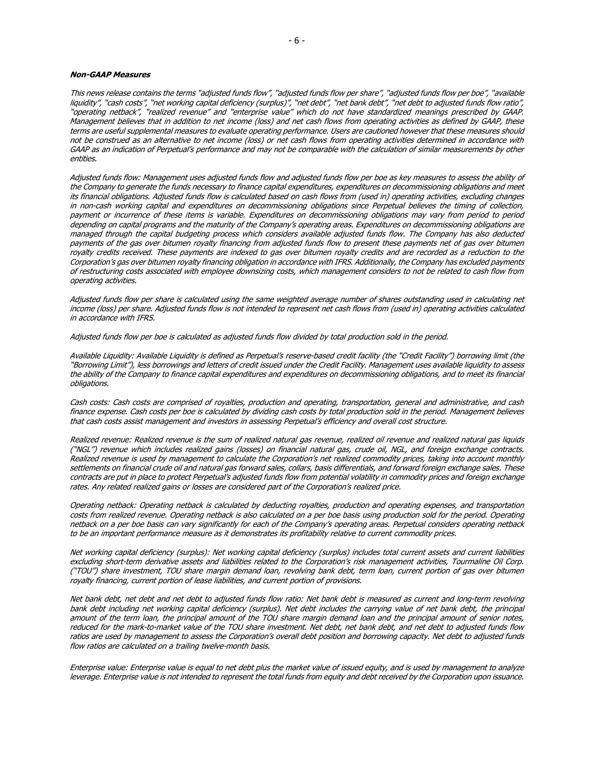#### **Non-GAAP Measures**

This news release contains the terms "adjusted funds flow", "adjusted funds flow per share", "adjusted funds flow per boe", "available liquidity", "cash costs", "net working capital deficiency (surplus)", "net debt", "net bank debt", "net debt to adjusted funds flow ratio", "operating netback", "realized revenue" and "enterprise value" which do not have standardized meanings prescribed by GAAP. Management believes that in addition to net income (loss) and net cash flows from operating activities as defined by GAAP, these terms are useful supplemental measures to evaluate operating performance. Users are cautioned however that these measures should not be construed as an alternative to net income (loss) or net cash flows from operating activities determined in accordance with GAAP as an indication of Perpetual's performance and may not be comparable with the calculation of similar measurements by other entities.

Adjusted funds flow: Management uses adjusted funds flow and adjusted funds flow per boe as key measures to assess the ability of the Company to generate the funds necessary to finance capital expenditures, expenditures on decommissioning obligations and meet its financial obligations. Adjusted funds flow is calculated based on cash flows from (used in) operating activities, excluding changes in non-cash working capital and expenditures on decommissioning obligations since Perpetual believes the timing of collection, payment or incurrence of these items is variable. Expenditures on decommissioning obligations may vary from period to period depending on capital programs and the maturity of the Company's operating areas. Expenditures on decommissioning obligations are managed through the capital budgeting process which considers available adjusted funds flow. The Company has also deducted payments of the gas over bitumen royalty financing from adjusted funds flow to present these payments net of gas over bitumen royalty credits received. These payments are indexed to gas over bitumen royalty credits and are recorded as a reduction to the Corporation's gas over bitumen royalty financing obligation in accordance with IFRS. Additionally, the Company has excluded payments of restructuring costs associated with employee downsizing costs, which management considers to not be related to cash flow from operating activities.

Adjusted funds flow per share is calculated using the same weighted average number of shares outstanding used in calculating net income (loss) per share. Adjusted funds flow is not intended to represent net cash flows from (used in) operating activities calculated in accordance with IFRS.

Adjusted funds flow per boe is calculated as adjusted funds flow divided by total production sold in the period.

Available Liquidity: Available Liquidity is defined as Perpetual's reserve-based credit facility (the "Credit Facility") borrowing limit (the "Borrowing Limit"), less borrowings and letters of credit issued under the Credit Facility. Management uses available liquidity to assess the ability of the Company to finance capital expenditures and expenditures on decommissioning obligations, and to meet its financial obligations.

Cash costs: Cash costs are comprised of royalties, production and operating, transportation, general and administrative, and cash finance expense. Cash costs per boe is calculated by dividing cash costs by total production sold in the period. Management believes that cash costs assist management and investors in assessing Perpetual's efficiency and overall cost structure.

Realized revenue: Realized revenue is the sum of realized natural gas revenue, realized oil revenue and realized natural gas liquids ("NGL") revenue which includes realized gains (losses) on financial natural gas, crude oil, NGL, and foreign exchange contracts. Realized revenue is used by management to calculate the Corporation's net realized commodity prices, taking into account monthly settlements on financial crude oil and natural gas forward sales, collars, basis differentials, and forward foreign exchange sales. These contracts are put in place to protect Perpetual's adjusted funds flow from potential volatility in commodity prices and foreign exchange rates. Any related realized gains or losses are considered part of the Corporation's realized price.

Operating netback: Operating netback is calculated by deducting royalties, production and operating expenses, and transportation costs from realized revenue. Operating netback is also calculated on a per boe basis using production sold for the period. Operating netback on a per boe basis can vary significantly for each of the Company's operating areas. Perpetual considers operating netback to be an important performance measure as it demonstrates its profitability relative to current commodity prices.

Net working capital deficiency (surplus): Net working capital deficiency (surplus) includes total current assets and current liabilities excluding short-term derivative assets and liabilities related to the Corporation's risk management activities, Tourmaline Oil Corp. ("TOU") share investment, TOU share margin demand loan, revolving bank debt, term loan, current portion of gas over bitumen royalty financing, current portion of lease liabilities, and current portion of provisions.

Net bank debt, net debt and net debt to adjusted funds flow ratio: Net bank debt is measured as current and long-term revolving bank debt including net working capital deficiency (surplus). Net debt includes the carrying value of net bank debt, the principal amount of the term loan, the principal amount of the TOU share margin demand loan and the principal amount of senior notes, reduced for the mark-to-market value of the TOU share investment. Net debt, net bank debt, and net debt to adjusted funds flow ratios are used by management to assess the Corporation's overall debt position and borrowing capacity. Net debt to adjusted funds flow ratios are calculated on a trailing twelve-month basis.

Enterprise value: Enterprise value is equal to net debt plus the market value of issued equity, and is used by management to analyze leverage. Enterprise value is not intended to represent the total funds from equity and debt received by the Corporation upon issuance.